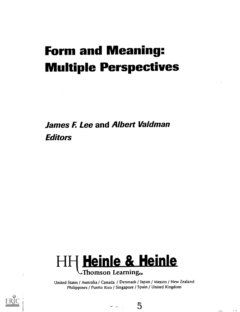# Form and Meaning: Multiple Perspectives

James E Lee and Albert Valdman **Editors** 



United States / Australia / Canada / Denmark / Japan / Mexico / New Zealand Philippines / Puerto Rico / Singapore / Spain / United Kingdom

 $-15$ 

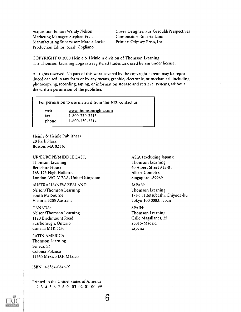Acquisition Editor: Wendy Nelson Marketing Manager: Stephen Frail Manufacturing Supervisor: Marcia Locke Production Editor: Sarah Cogliano

Cover Designer: Sue Gerould/Perspectives Compositor: Roberta Landi Printer: Odyssey Press, Inc.

COPYRIGHT 0 2000 Heinle & Heinle, a division of Thomson Learning. The Thomson Learning Logo is a registered trademark used herein under license.

All rights reserved. No part of this work covered by the copyright hereon may be reproduced or used in any form or by any means, graphic, electronic, or mechanical, including photocopying, recording, taping, or information storage and retrieval systems, without the written permission of the publisher.

For permission to use material from this text, contact us:

web fax phone www.thomsonrights.com 1-800-730-2215 1-800-730-2214

Heinle & Heinle Publishers 20 Park Plaza Boston, MA 02116

UK/EUROPE/MIDDLE EAST: Thomson Learning Berkshire House 168-173 High Holborn London, WC IV 7AA, United Kingdom

AUSTRALIA/NEW ZEALAND: Nelson/Thomson Learning South Melbourne Victoria 3205 Australia

CANADA: Nelson/Thomson Learning 1120 Birchrnount Road Scarborough, Ontario Canada MIK 5G4

LATIN AMERICA: Thomson Learning Seneca, 53 Colonia Polanco 11560 Mexico D.E Mexico

ISBN: 0-8384-0846-X

Printed in the United States of America <sup>1</sup> 2 3 4 5 6 7 8 9 03 02 01 00 99 ASIA (excluding Japan): Thomson Learning 60 Albert Street #15-01 Albert Complex Singapore 189969

JAPAN: Thomson Learning 1-1-1 Hitotsubashi, Chiyoda-ku Tokyo 100 0003, Japan

SPAIN: Thomson Learning Calle Magallanes, 25 28015-Madrid Espana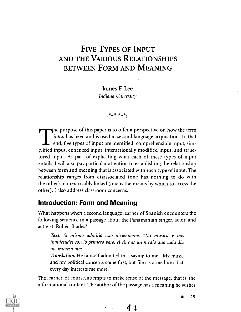## FIVE TYPES OF INPUT AND THE VARIOUS RELATIONSHIPS BETWEEN FORM AND MEANING

James F. Lee Indiana University

∕<sup>∍≥</sup>

The purpose of this paper is to offer a perspective on how the term input has been and is used in second language acquisition. To that  $\blacktriangle$  end, five types of input are identified: comprehensible input, simplified input, enhanced input, interactionally modified input, and structured input. As part of explicating what each of these types of input entails, I will also pay particular attention to establishing the relationship between form and meaning that is associated with each type of input. The relationship ranges from disassociated (one has nothing to do with the other) to inextricably linked (one is the means by which to access the other). I also address classroom concerns.

### Introduction: Form and Meaning

What happens when a second language learner of Spanish encounters the following sentence in a passage about the Panamanian singer, actor, and activist, Rubén Blades?

Text. El mismo admitió esto diciéndome, "Mi música y mis inquietudes son lo prirnero pero, el cine es un medio que cada dia me interesa más."

Translation. He himself admitted this, saying to me, "My music and my political concerns come first, but film is a medium that every day interests me more."

The learner, of course, attempts to make sense of the message, that is, the informational content. The author of the passage has a meaning he wishes

 $44$ 



E 25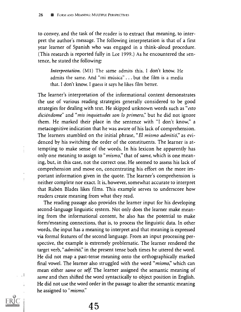$\frac{1}{2}$ 

 $\ddot{\ddot{\cdot}}$ 

 $\Box$ 

to convey, and the task of the reader is to extract that meaning, to interpret the author's message. The following interpretation is that of a first year learner of Spanish who was engaged in a think-aloud procedure. (This research is reported fully in Lee 1999.) As he encountered the sentence, he stated the following:

Interpretation. (M1) The same admits this. I don't know. He admits the same. And "mi müsica" . . . but the film is a media that. I don't know. I guess it says he likes film better.

The learner's interpretation of the informational content demonstrates the use of various reading strategies generally considered to be good strategies for dealing with text. He skipped unknown words such as "*esto* diciendome" and "mis inquietudes son lo primero," but he did not ignore them. He marked their place in the sentence with "I don't know," a metacognitive indication that he was aware of his lack of comprehension. The learners stumbled on the initial phrase, "El mismo admitió," as evidenced by his switching the order of the constituents. The learner is attempting to make sense of the words. In his lexicon he apparently has only one meaning to assign to "*mismo*," that of *same*, which is one meaning, but, in this case, not the correct one. He seemed to assess his lack of comprehension and move on, concentrating his effort on the more important information given in the quote. The learner's comprehension is neither complete nor exact. It is, however, somewhat accurate to interpret that Ruben Blades likes films. This example serves to underscore how readers create meaning from what they read.

The reading passage also provides the learner input for his developing second-language linguistic system. Not only does the learner make meaning from the informational content, he also has the potential to make form/meaning connections, that is, to process the linguistic data. In other words, the input has a meaning to interpret and that meaning is expressed via formal features of the second language. From an input processing perspective, the example is extremely problematic. The learner rendered the target verb, "*admitio*," in the present tense both times he uttered the word. He did not map a past-tense meaning onto the orthographically marked final vowel. The learner also struggled with the word "mismo," which can mean either *same* or *self*. The learner assigned the semantic meaning of same and then shifted the word syntactically to object position in English. He did not use the word order in the passage to alter the semantic meaning he assigned to "mismo."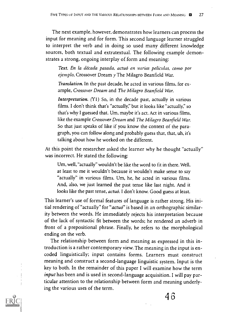The next example, however, demonstrates how learners can process the input for meaning and for form. This second language learner struggled to interpret the verb and in doing so used many different knowledge sources, both textual and extratextual. The following example demonstrates a strong, ongoing interplay of form and meaning:

Text. En la década pasada, actuó en varias peliculas, como por ejemplo, Crossover Dream  $y$  The Milagro Beanfield War.

Translation. In the past decade, he acted in various films, for example, Crossover Dream and The Milagro Beanfield War.

Interpretation. (Y1) So, in the decade past, actually in various films. I don't think that's "actually," but it looks like "actually," so that's why I guessed that. Um, maybe it's act. Act in various films, like the example Crossover Dream and The Milagro Beanfield War. So that just speaks of like if you know the context of the paragraph, you can follow along and probably guess that, that, uh, it's talking about how he worked on the different.

At this point the researcher asked the learner why he thought "actually" was incorrect. He stated the following:

Um, well, "actually" wouldn't be like the word to fit in there. Well, at least to me it wouldn't because it wouldn't make sense to say "actually" in various films. Um, he, he acted in various films. And, also, we just learned the past tense like last night. And it looks like the past tense, *actuó*. I don't know. Good guess at least.

This learner's use of formal features of language is rather strong. His initial rendering of "actually" for "*actuó*" is based in an orthographic similarity between the words. He immediately rejects his interpretation because of the lack of syntactic fit between the words; he rendered an adverb in front of a prepositional phrase. Finally, he refers to the morphological ending on the verb.

The relationship between form and meaning as expressed in this introduction is a rather contemporary view. The meaning in the input is encoded linguistically; input contains forms. Learners must construct meaning and construct a second-language linguistic system. Input is the key to both. In the remainder of this paper I will examine how the term input has been and is used in second-language acquisition. I will pay particular attention to the relationship between form and meaning underlying the various uses of the term.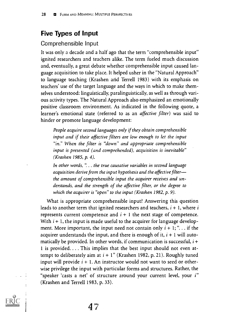## Five Types of Input

#### Comprehensible Input

It was only a decade and a half ago that the term "comprehensible input" ignited researchers and teachers alike. The term fueled much discussion and, eventually, a great debate whether comprehensible input caused language acquisition to take place. It helped usher in the "Natural Approach" to language teaching (Krashen arid Terrell 1983) with its emphasis on teachers' use of the target language and the ways in which to make themselves understood: linguistically, paralinguistically, as well as through various activity types. The Natural Approach also emphasized an emotionally positive classroom environment. As indicated in the following quote, a learner's emotional state (referred to as an affective filter) was said to hinder or promote language development:

People acquire second languages only if they obtain comprehensible input and if their affective filters are low enough to let the input "in." When the filter is "down" and appropriate comprehensible input is presented (and comprehended), acquisition is inevitable" (Krashen 1985, p. 4).

In other words, ". . . the true causative variables in second language acquisition derive from the input hypothesis and the affective filter the amount of comprehensible input the acquirer receives and understands, and the strength of the affective filter, or the degree to which the acquirer is "open" to the input (Krashen 1982, p. 9).

What is appropriate comprehensible input? Answering this question leads to another term that ignited researchers and teachers,  $i + 1$ , where i represents current competence and  $i + 1$  the next stage of competence. With  $i + 1$ , the input is made useful to the acquirer for language development. More important, the input need not contain only  $i + 1$ ; "... if the acquirer understands the input, and there is enough of it,  $i + 1$  will automatically be provided. In other words, if communication is successful,  $i +$ <sup>1</sup> is provided. . . . This implies that the best input should not even attempt to deliberately aim at  $i + 1$ " (Krashen 1982, p. 21). Roughly tuned input will provide  $i + 1$ . An instructor would not want to seed or otherwise privilege the input with particular forms and structures. Rather, the "speaker 'casts a net' of structure around your current level, your i" (Krashen and Terrell 1983, p. 33).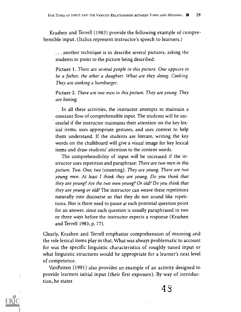Krashen and Terrell (1983) provide the following example of comprehensible input. (Italics represent instructor's speech to learners.)

. . another technique is to describe several pictures, asking the students to point to the picture being described:

Picture 1. There are several people in this picture. One appears to be a father, the other a daughter. What are they doing. Cooking. They are cooking a hamburger.

Picture 2. There are two men in this picture. They are young. They are boxing.

In all these activities, the instructor attempts to maintain a constant flow of comprehensible input. The students will be successful if the instructor maintains their attention on the key lexical items, uses appropriate gestures, and uses context to help them understand. If the students are literate, writing the key words on the chalkboard will give a visual image for key lexical items and draw students' attention to the content words.

The comprehensibility of input will be increased if the instructor uses repetition and paraphrase: There are two men in this picture. Two. One, two (counting). They are young. There are two young men. At least I think they are young. Do you think that they are young? Are the two men young? Or old? Do you think that they are young or old? The instructor can weave these repetitions naturally into discourse so that they do not sound like repetitions. Nor is there need to pause at each potential question point for an answer, since each question is usually paraphrased in two or three ways before the instructor expects a response (Krashen and Terrell 1983, p. 77).

Clearly, Krashen and Terrell emphasize comprehension of meaning and the role lexical items play in that. What was always problematic to account for was the specific linguistic characteristics of roughly tuned input or what linguistic structures would be appropriate for a learner's next level of competence.

VanPatten (1991) also provides an example of an activity designed to provide learners initial input (their first exposure). By way of introduction, he states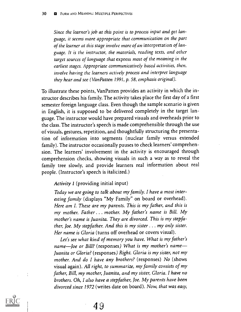Since the learner's job at this point is to process input and get language, it seems more appropriate that communication on the part of the learner at this stage involve more of an interpretation of language. It is the instructor, the materials, reading texts, and other target sources of language that express most of the meaning in the earliest stages. Appropriate communicatively based activities, then, involve having the learners actively process and interpret language they hear and see (VanPatten 1991, p. 58, emphasis original).

To illustrate these points, VanPatten provides an activity in which the instructor describes his family. The activity takes place the first day of a first semester foreign language class. Even though the sample scenario is given in English, it is supposed to be delivered completely in the target language. The instructor would have prepared visuals and overheads prior to the class. The instructor's speech is made comprehensible through the use of visuals, gestures, repetition, and thoughtfully structuring the presentation of information into segments (nuclear family versus extended family). The instructor occasionally pauses to check learners' comprehension. The learners' involvement in the activity is encouraged through comprehension checks, showing visuals in such a way as to reveal the family tree slowly, and provide learners real information about real people. (Instructor's speech is italicized.)

Activity 1 (providing initial input)

Today we are going to talk about my family. I have a most interesting family (displays "My Family" on board or overhead). Here am I. These are my parents. This is my father, and this is my mother. Father... mother. My father's name is Bill. My mother's name is Juanita. They are divorced. This is my stepfather, Joe. My stepfather. And this is my sister... my only sister. Her name is Gloria (turns off overhead or covers visual).

Let's see what kind of memory you have. What is my father's name-Joe or Bill? (responses) What is my mother's name-Juanita or Gloria? (responses) Right. Gloria is my sister, not my mother. And do I have any brothers? (responses) No (shows visual again). All right, to summarize, my family consists of my father, Bill, my mother, Juanita, and my sister, Gloria. I have no brothers. Oh, I also have a stepfather, Joe. My parents have been divorced since 1972 (writes date on board). Now, that was easy,

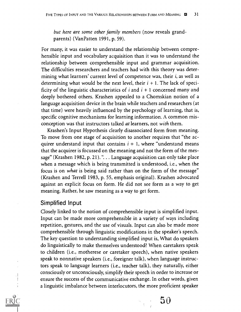but here are some other family members (now reveals grandparents) (VanPatten 1991, p. 59).

For many, it was easier to understand the relationship between comprehensible input and vocabulary acquisition than it was to understand the relationship between comprehensible input and grammar acquisition. The difficulties researchers and teachers had with this theory was determining what learners' current level of competence was, their i, as well as determining what would be the next level, their  $i + 1$ . The lack of specificity of the linguistic characteristics of  $i$  and  $i + 1$  concerned many and deeply bothered others. Krashen appealed to a Chomskian notion of a language acquisition device in the brain while teachers and researchers (at that time) were heavily influenced by the psychology of learning, that is, specific cognitive mechanisms for learning information. A common misconception was that instructors talked at learners, not with them.

Krashen's Input Hypothesis clearly disassociated form from meaning. To move from one stage of acquisition to another requires that "the acquirer understand input that contains  $i + 1$ , where "understand means that the acquirer is focussed on the meaning and not the form of the message" (Krashen 1982, p. 21). ". . . Language acquisition can only take place when a message which is being transmitted is understood, i.e., when the focus is on what is being said rather than on the form of the message" (Krashen and Terrell 1983, p. 55, emphasis original). Krashen advocated against an explicit focus on form. He did not see form as a way to get meaning. Rather, he saw meaning as a way to get form.

#### Simplified Input

 $\frac{1}{2}$ 

Closely linked to the notion of comprehensible input is simplified input. Input can be made more comprehensible in a variety of ways including repetition, gestures, and the use of visuals. Input can also be made more comprehensible through linguistic modifications in the speaker's speech. The key question to understanding simplified input is, What do speakers do linguistically to make themselves understood? When caretakers speak to children (i.e., motherese or caretaker speech), when native speakers speak to nonnative speakers (i.e., foreigner talk), when language instructors speak to language learners (i.e., teacher talk), they naturally, either consciously or unconsciously, simplify their speech in order to increase or ensure the success of the communicative exchange. In other words, given a linguistic imbalance between interlocutors, the more proficient speaker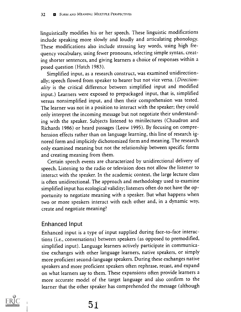linguistically modifies his or her speech. These linguistic modifications include speaking more slowly and loudly and articulating phonology. These modifications also include stressing key words, using high frequency vocabulary, using fewer pronouns, selecting simple syntax, creating shorter sentences, and giving learners a choice of responses within a posed question (Hatch 1983).

Simplified input, as a research construct, was examined unidirectionally; speech flowed from speaker to hearer but not vice versa. (Directionality is the critical difference between simplified input and modified input.) Learners were exposed to prepackaged input, that is, simplified versus nonsimplified input, and then their comprehension was tested. The learner was not in a position to interact with the speaker; they could only interpret the incoming message but not negotiate their understanding with the speaker. Subjects listened to minilectures (Chaudron and Richards 1986) or heard passages (Leow 1995). By focusing on comprehension effects rather than on language learning, this line of research ignored form and implicitly dichotomized form and meaning. The research only examined meaning but not the relationship between specific forms and creating meaning from them.

Certain speech events are characterized by unidirectional delivery of speech. Listening to the radio or television does not allow the listener to interact with the speaker. In the academic context, the large lecture class is often unidirectional. The approach and methodology used to examine simplified input has ecological validity; listeners often do not have the opportunity to negotiate meaning with a speaker. But what happens when two or more speakers interact with each other and, in a dynamic way, create and negotiate meaning?

#### Enhanced Input

Enhanced input is a type of input supplied during face-to-face interactions (i.e., conversations) between speakers (as opposed to premodified, simplified input). Language learners actively participate in communicative exchanges with other language learners, native speakers, or simply more proficient second-language speakers. During these exchanges native speakers and more proficient speakers often rephrase, recast, and expand on what learners say to them. These expansions often provide learners a more accurate model of the target language and also confirm to the learner that the other speaker has comprehended the message (although

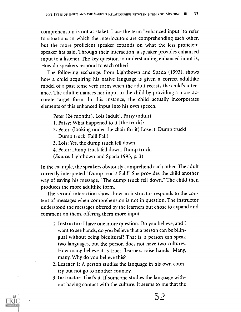comprehension is not at stake). I use the term "enhanced input" to refer to situations in which the interlocutors are comprehending each other, but the more proficient speaker expands on what the less proficient speaker has said. Through their interaction, a speaker provides enhanced input to a listener. The key question to understanding enhanced input is, How do speakers respond to each other?

The following exchange, from Lightbown and Spada (1993), shows how a child acquiring his native language is given a correct adultlike model of a past tense verb form when the adult recasts the child's utterance. The adult enhances her input to the child by providing a more accurate target form. In this instance, the child actually incorporates elements of this enhanced input into his own speech.

- Peter (24 months), Lois (adult), Patsy (adult)
- 1. Patsy: What happened to it (the truck)?
- 2. Peter: (looking under the chair for it) Lose it. Dump truck! Dump truck! Fall! Fall!
- 3. Lois: Yes, the dump truck fell down.
- 4. Peter: Dump truck fell down. Dump truck.
- (Source: Lightbown and Spada 1993, p. 3)

In the example, the speakers obviously comprehend each other. The adult correctly interpreted "Dump truck! Fall!" She provides the child another way of saying his message, "The dump truck fell down." The child then produces the more adultlike form.

The second interaction shows how an instructor responds to the content of messages when comprehension is not in question. The instructor understood the messages offered by the learners but chose to expand and comment on them, offering them more input.

- 1. Instructor: I have one more question. Do you believe, and I want to see hands, do you believe that a person can be bilingual without being bicultural? That is, a person can speak two languages, but the person does not have two cultures. How many believe it is true? [learners raise hands] Many, many. Why do you believe this?
- 2. Learner 1: A person studies the language in his own country but not go to another country.
- 3. Instructor: That's it. If someone studies the language without having contact with the culture. It seems to me that the

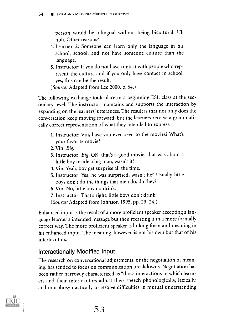person would be bilingual without being bicultural. Uh huh. Other reasons?

- 4. Learner 2: Someone can learn only the language in his school, school, and not have someone culture than the language.
- 5. Instructor: If you do not have contact with people who represent the culture and if you only have contact in school, yes, this can be the result.

(Source: Adapted from Lee 2000, p. 64.)

The following exchange took place in a beginning ESL class at the secondary level. The instructor maintains and supports the interaction by expanding on the learners' utterances. The result is that not only does the conversation keep moving forward, but the learners receive a grammatically correct representation of what they intended to express.

- 1. Instructor: Vin, have you ever been to the movies? What's your favorite movie?
- 2. Vin: Big.
- 3. Instructor: Big, OK, that's a good movie; that was about a little boy inside a big man, wasn't it?
- 4. Vin: Yeah, boy get surprise all the time.
- 5. Instructor: Yes, he was surprised, wasn't he? Usually little boys don't do the things that men do, do they?
- 6. Vin: No, little boy no drink.
- 7. Instructor: That's right, little boys don't drink.

(Source: Adapted from Johnson 1995, pp. 23-24.)

Enhanced input is the result of a more proficient speaker accepting a language learner's intended message but then recasting it in a more formally correct way. The more proficient speaker is linking form and meaning in his enhanced input. The meaning, however, is not his own but that of his interlocutors.

## Interactionally Modified Input

The research on conversational adjustments, or the negotiation of meaning, has tended to focus on communication breakdowns. Negotiation has been rather narrowly characterized as "those interactions in which learners and their interlocutors adjust their speech phonologically, lexically, and morphosyntactically to resolve difficulties in mutual understanding



 $\mathbb{R}^{n \times n}$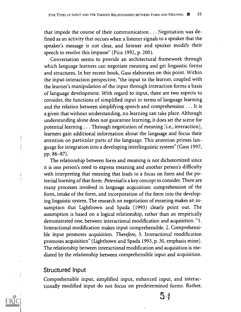that impede the course of their communication . . . Negotiation was defined as an activity that occurs when a listener signals to a speaker that the speaker's message is not clear, and listener and speaker modify their speech to resolve this impasse" (Pica 1992, p. 200).

Conversation seems to provide an architectural framework through which language learners can negotiate meaning and get linguistic forms and structures. In her recent book, Gass elaborates on this point. Within the input-interaction perspective, "the input to the learner, coupled with the learner's manipulation of the input through interaction forms a basis of language development. With regard to input, there are two aspects to consider, the functions of simplified input in terms of language learning and the relation between simplifying speech and comprehension . . . It is a given that without understanding, no learning can take place. Although understanding alone does not guarantee learning, it does set the scene for potential learning . . . Through negotiation of meaning [i.e., interaction], learners gain additional information about the language and focus their attention on particular parts of the language. This attention primes language for integration into a developing interlinguistic system" (Gass 1997, pp. 86-87).

The relationship between form and meaning is not dichotomized since it is one person's need to express meaning and another person's difficulty with interpreting that meaning that leads to a focus on form and the potential learning of that form. Potential is a key concept to consider. There are many processes involved in language acquisition: comprehension of the form, intake of the form, and incorporation of the form into the developing linguistic system. The research on negotiation of meaning makes an assumption that Lightbown and Spada (1993) clearly point out. The assumption is based on a logical relationship, rather than an empirically demonstrated one, between interactional modification and acquisition. "1. Interactional modification makes input comprehensible. 2. Comprehensible input promotes acquisition. Therefore, 3. Interactional modification promotes acquisition" (Lightbown and Spada 1993, p. 30, emphasis mine). The relationship between interactional modification and acquisition is mediated by the relationship between comprehensible input and acquisition.

#### Structured Input

j

Comprehensible input, simplified input, enhanced input, and interactionally modified input do not focus on predetermined forms. Rather,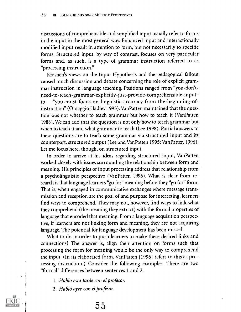discussions of comprehensible and simplified input usually refer to forms in the input in the most general way. Enhanced input and interactionally modified input result in attention to form, but not necessarily to specific forms. Structured input, by way of contrast, focuses on very particular forms and, as such, is a type of grammar instruction referred to as "processing instruction."

Krashen's views on the Input Hypothesis and the pedagogical fallout caused much discussion and debate concerning the role of explicit grammar instruction in language teaching. Positions ranged from "you-don'tneed-to-teach-grammar-explicitly-just-provide-comprehensible-input" to "you-must-focus-on-linguistic-accuracy-from-the-beginning-ofinstruction" (Omaggio Hadley 1993). VanPatten maintained that the question was not whether to teach grammar but how to teach it (VanPatten 1988). We can add that the question is not only how to teach grammar but when to teach it and what grammar to teach (Lee 1998). Partial answers to these questions are to teach some, grammar via structured input and its counterpart, structured output (Lee and VanPatten 1995; VanPatten 1996). Let me focus here, though, on structured input.

In order to arrive at his ideas regarding structured input, VanPatten worked closely with issues surrounding the relationship between form and meaning. His principles of input processing address that relationship from a psycholinguistic perspective (VanPatten 1996). What is clear from research is that language learners "go for" meaning before they "go for" form. That is, when engaged in communicative exchanges where message transmission and reception are the goal of and purpose for interacting, learners find ways to comprehend. They may not, however, find ways to link what they comprehend (the meaning they extract) with the formal properties of language that encoded that meaning. From a language acquisition perspective, if learners are not linking form and meaning, they are not acquiring language. The potential for language development has been missed.

What to do in order to push learners to make these desired links and connections? The answer is, align their attention on forms such that processing the form for meaning would be the only way to comprehend the input. (In its elaborated form, VanPatten [1996] refers to this as processing instruction.) Consider the following examples. There are two "formal" differences between sentences 1 and 2.

- 1. Hablo esta tarde con el profesor.
- 2. Habló ayer con el profesor.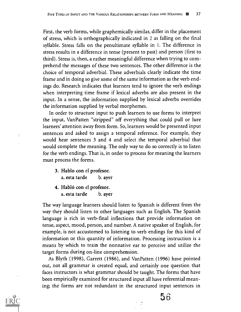First, the verb forms, while graphemically similar, differ in the placement of stress, which is orthographically indicated in 2 as falling on the final syllable. Stress falls on the penultimate syllable in 1. The difference in stress results in a difference in tense (present to past) and person (first to third). Stress is, then, a rather meaningful difference when trying to comprehend the messages of these two sentences. The other difference is the choice of temporal adverbial. These adverbials clearly indicate the time frame and in doing so give some of the same information as the verb endings do. Research indicates that learners tend to ignore the verb endings when interpreting time frame if lexical adverbs are also present in the input. In a sense, the information supplied by lexical adverbs overrides the information supplied by verbal morphemes.

In order to structure input to push learners to use forms to interpret the input, Van Patten "stripped" off everything that could pull or lure learners' attention away from form. So, learners would be presented input sentences and asked to assign a temporal reference. For example, they would hear sentences 3 and 4 and select the temporal adverbial that would complete the meaning. The only way to do so correctly is to listen for the verb endings. That is, in order to process for meaning the learners must process the forms.

3. Hablo con el profesor. a. esta tarde b. ayer

 $\frac{1}{4}$ 

4. Habló con el profesor. a. esta tarde b. ayer

The way language learners should listen to Spanish is different from the way they should listen to other languages such as English. The Spanish language is rich in verb-final inflections that provide information on tense, aspect, mood, person, and number. A native speaker of English, for example, is not accustomed to listening to verb endings for this kind of information or this quantity of information. Processing instruction is a means by which to train the nonnative ear to perceive and utilize the target forms during on-line comprehension.

As Blyth (1998), Garrett (1986), and Van Patten (1996) have pointed out, not all grammar is created equal, and certainly one question that faces instructors is what grammar should be taught. The forms that have been empirically examined for structured input all have referential meaning; the forms are not redundant in the structured input sentences in

5 6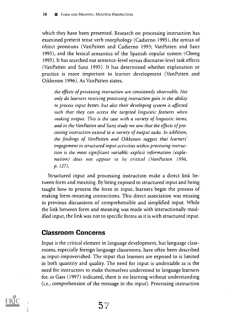which they have been presented. Research on processing instruction has examined preterit tense verb morphology (Cadierno 1995), the syntax of object pronouns (Van Patten and Cadierno 1993; Van Patten and Sanz 1995), and the lexical semantics of the Spanish copular system (Cheng 1995). It has searched out sentence-level versus discourse-level task effects (Van Patten and Sanz 1995). It has determined whether explanation or practice is more important to learner development (Van Patten and Oikkenon 1996). As Van Patten states,

the effects of processing instruction are consistently observable. Not only do learners receiving processing instruction gain in the ability to process input better, but also their developing system is affected such that they can access the targeted linguistic features when making output. This is the case with a variety of linguistic items, and in the VanPatten and Sanz study we saw that the effects of processing instruction extend to a variety of output tasks. In addition, the findings of VanPatten and Oikkenon suggest that learners' engagement in structured input activities within processing instruction is the most significant variable; explicit information (explanation) does not appear to be critical ( VanPatten 1996, p. 127).

Structured input and processing instruction make a direct link between form and meaning. By being exposed to structured input and being taught how to process the form in input, learners begin the process of making form-meaning connections. This direct association was missing in previous discussions of comprehensible and simplified input. While the link between form and meaning was made with interactionally modified input, the link was not to specific forms as it is with structured input.

## Classroom Concerns

Input is the critical element in language development, but language classrooms, especially foreign language classrooms, have often been described as input-impoverished. The input that learners are exposed to is limited in both quantity and quality. The need for input is undeniable as is the need for instructors to make themselves understood to language learners for, as Gass (1997) indicated, there is no learning without understanding (i.e., comprehension of the message in the input). Processing instruction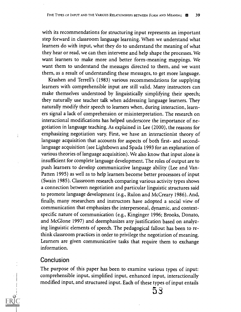with its recommendations for structuring input represents an important step forward in classroom language learning. When we understand what learners do with input, what they do to understand the meaning of what they hear or read, we can then intervene and help shape the processes. We want learners to make more and better form-meaning mappings. We want them to understand the messages directed to them, and we want them, as a result of understanding these messages, to get more language.

Krashen and Terrell's (1983) various recommendations for supplying learners with comprehensible input are still valid. Many instructors can make themselves understood by linguistically simplifying their speech; they naturally use teacher talk when addressing language learners. They naturally modify their speech to learners when, during interaction, learners signal a lack of comprehension or misinterpretation. The research on interactional modifications has helped underscore the importance of negotiation in language teaching. As explained in Lee (2000), the reasons for emphasizing negotiation vary. First, we have an interactionist theory of language acquisition that accounts for aspects of both first- and secondlanguage acquisition (see Lightbown and Spada 1993 for an explanation of various theories of language acquisition). We also know that input alone is insufficient for complete language development. The roles of output are to push learners to develop communicative language ability (Lee and Van-Patten 1995) as well as to help learners become better processors of input (Swain 1985). Classroom research comparing various activity types shows a connection between negotiation and particular linguistic structures said to promote language development (e.g., Rulon and McCreary 1986). And, finally, many researchers and instructors have adopted a social view of communication that emphasizes the interpersonal, dynamic, and contextspecific nature of communication (e.g., Kinginger 1996; Brooks, Donato, and McGlone 1997) and deemphasizes any justification based on analyzing linguistic elements of speech. The pedagogical fallout has been to rethink classroom practices in order to privilege the negotiation of meaning. Learners are given communicative tasks that require them to exchange information.

#### **Conclusion**

The purpose of this paper has been to examine various types of input: comprehensible input, simplified input, enhanced input, interactionally modified input, and structured input. Each of these types of input entails  $53$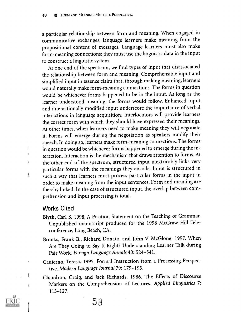a particular relationship between form and meaning. When engaged in communicative exchanges, language learners make meaning from the propositional content of messages. Language learners must also make form-meaning connections; they must use the linguistic data in the input to construct a linguistic system.

At one end of the spectrum, we find types of input that disassociated the relationship between form and meaning. Comprehensible input and simplified input in essence claim that, through making meaning, learners would naturally make form-meaning connections. The forms in question would be whichever forms happened to be in the input. As long as the learner understood meaning, the forms would follow. Enhanced input and interactionally modified input underscore the importance of verbal interactions in language acquisition. Interlocutors will provide learners the correct form with which they should have expressed their meanings. At other times, when learners need to make meaning they will negotiate it. Forms will emerge during the negotiation as speakers modify their speech. In doing so, learners make form-meaning connections. The forms in question would be whichever forms happened to emerge during the interaction. Interaction is the mechanism that draws attention to forms. At the other end of the spectrum, structured input inextricably links very particular forms with the meanings they encode. Input is structured in such a way that learners must process particular forms in the input in order to make meaning from the input sentences. Form and meaning are thereby linked. In the case of structured input, the overlap between comprehension and input processing is total.

#### Works Cited

 $\overline{1}$ 

 $\mathbf{i}$ 

 $\mathbf{I}$ 

- Blyth, Carl S. 1998. A Position Statement on the Teaching of Grammar. Unpublished manuscript produced for the 1998 McGraw-Hill Teleconference, Long Beach, CA.
- Brooks, Frank B., Richard Donato, and John V. McGlone. 1997. When Are They Going to Say It Right? Understanding Learner Talk during Pair Work. Foreign Language Annals 40: 524-541.
- Cadierno, Teresa. 1995. Formal Instruction from a Processing Perspective. Modern Language Journal 79: 179-193.
- Chaudron, Craig, and Jack Richards. 1986. The Effects of Discourse Markers on the Comprehension of Lectures. Applied Linguistics 7: 113-127.

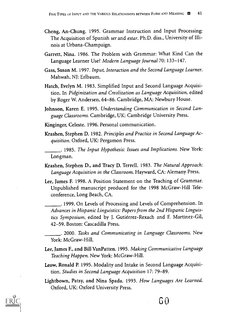- Cheng, An-Chung. 1995. Grammar Instruction and Input Processing: The Acquisition of Spanish ser and estar. Ph.D. diss., University of Illinois at Urbana-Champaign.
- Garrett, Nina. 1986. The Problem with Grammar: What Kind Can the Language Learner Use? Modern Language Journal 70: 133-147.
- Gass, Susan M. 1997. Input, Interaction and the Second Language Learner. Mahwah, NJ: Erlbaum.
- Hatch, Evelyn M. 1983. Simplified Input and Second Language Acquisition. In Pidginization and Creolization as Language Acquisition, edited by Roger W. Andersen, 64-86. Cambridge, MA: Newbury House.
- Johnson, Karen E. 1995. Understanding Communication in Second Language Classrooms. Cambridge, UK: Cambridge University Press.
- Kinginger, Celeste. 1996. Personal communication.
- Krashen, Stephen D. 1982. Principles and Practice in Second Language Acquisition. Oxford, UK: Pergamon Press.
- 1985. The Input Hypothesis: Issues and Implications. New York: Longman.
- Krashen, Stephen D., and Tracy D. Terrell. 1983. The Natural Approach: Language Acquisition in the Classroom. Hayward, CA: Alemany Press.
- Lee, James F. 1998. A Position Statement on the Teaching of Grammar. Unpublished manuscript produced for the 1998 McGraw-Hill Teleconference, Long Beach, CA.

. 1999. On Levels of Processing and Levels of Comprehension. In Advances in Hispanic Linguistics: Papers from the 2nd Hispanic Linguistics Symposium, edited by J. Gutierrez-Rexach and F. Martinez-Gil, 42-59. Boston: Cascadilla Press.

. 2000. Tasks and Communicating in Language Classrooms. New York: McGraw-Hill.

- Lee, James F., and Bill VanPatten. 1995. Making Communicative Language Teaching Happen. New York: McGraw-Hill.
- Leow, Ronald P. 1995. Modality and Intake in Second Language Acquisition. Studies in Second Language Acquisition 17: 79-89.
- Lightbown, Patsy, and Nina Spada. 1993. How Languages Are Learned. Oxford, UK: Oxford University Press.